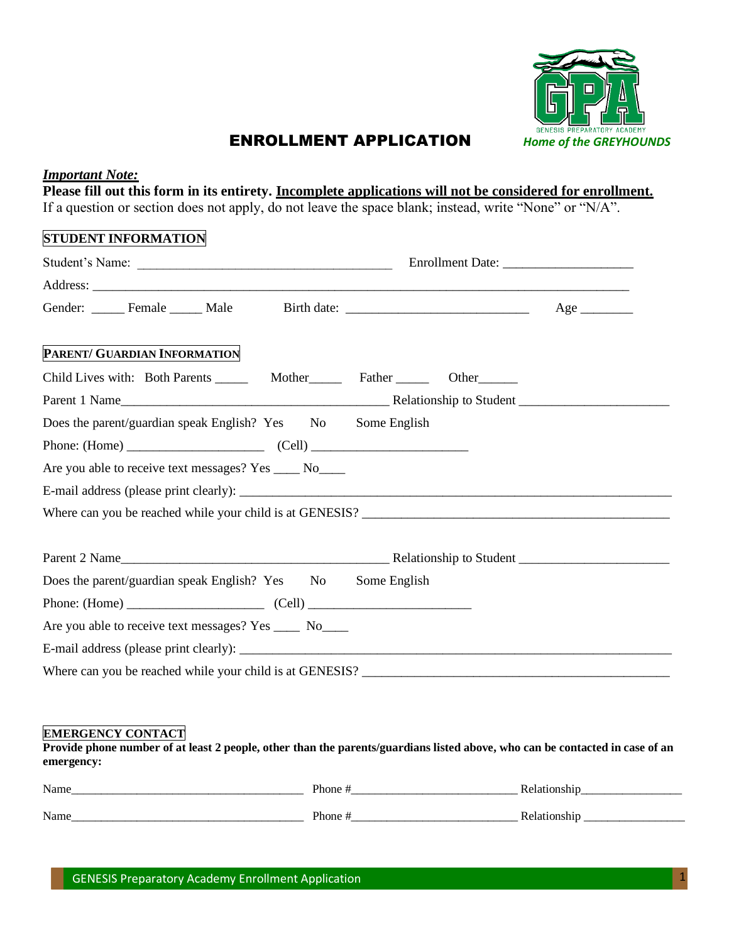

# ENROLLMENT APPLICATION *Home of the GREYHOUNDS*

#### *Important Note:*

**Please fill out this form in its entirety. Incomplete applications will not be considered for enrollment.** If a question or section does not apply, do not leave the space blank; instead, write "None" or "N/A".

## **STUDENT INFORMATION**

| PARENT/ GUARDIAN INFORMATION                                                           |  |  |  |  |
|----------------------------------------------------------------------------------------|--|--|--|--|
| Child Lives with: Both Parents ________ Mother_________ Father _________ Other________ |  |  |  |  |
|                                                                                        |  |  |  |  |
| Does the parent/guardian speak English? Yes No Some English                            |  |  |  |  |
|                                                                                        |  |  |  |  |
| Are you able to receive text messages? Yes ____ No____                                 |  |  |  |  |
|                                                                                        |  |  |  |  |
|                                                                                        |  |  |  |  |
|                                                                                        |  |  |  |  |
| Does the parent/guardian speak English? Yes No Some English                            |  |  |  |  |
|                                                                                        |  |  |  |  |
| Are you able to receive text messages? Yes _____ No____                                |  |  |  |  |
|                                                                                        |  |  |  |  |
|                                                                                        |  |  |  |  |

#### **EMERGENCY CONTACT**

**Provide phone number of at least 2 people, other than the parents/guardians listed above, who can be contacted in case of an emergency:**

| Name | Phone  | Relationshi         |
|------|--------|---------------------|
| Name | Phone. | Relationshi<br>лімі |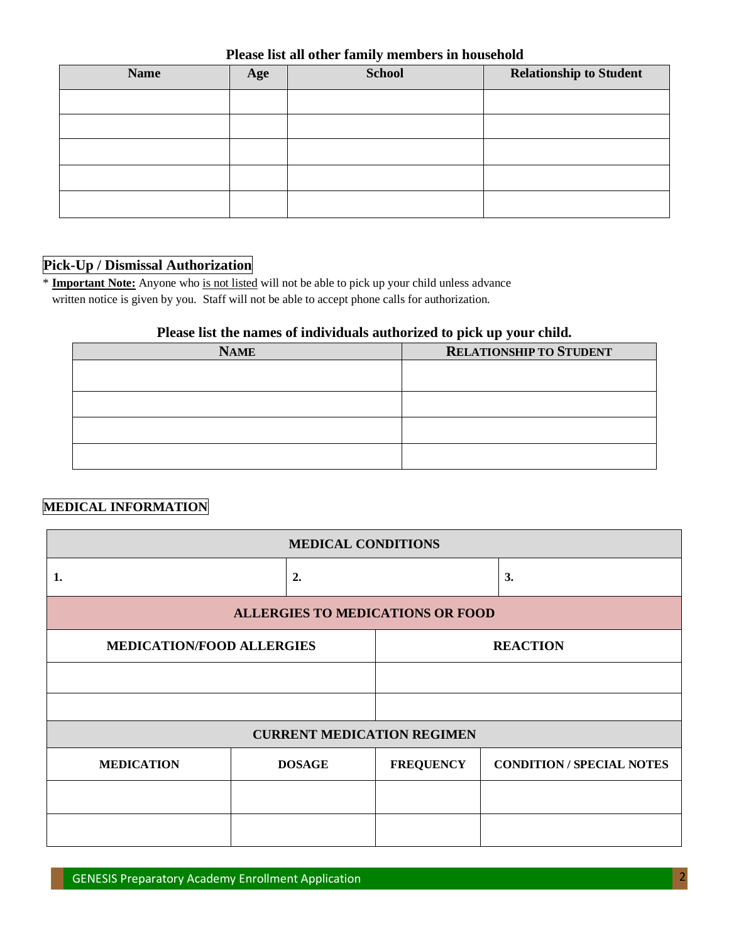| <b>Name</b> | Age | <b>School</b> | <b>Relationship to Student</b> |
|-------------|-----|---------------|--------------------------------|
|             |     |               |                                |
|             |     |               |                                |
|             |     |               |                                |
|             |     |               |                                |
|             |     |               |                                |

## **Pick-Up / Dismissal Authorization**

\* **Important Note:** Anyone who is not listed will not be able to pick up your child unless advance written notice is given by you. Staff will not be able to accept phone calls for authorization.

#### **Please list the names of individuals authorized to pick up your child.**

| <b>NAME</b> | <b>RELATIONSHIP TO STUDENT</b> |
|-------------|--------------------------------|
|             |                                |
|             |                                |
|             |                                |
|             |                                |
|             |                                |
|             |                                |
|             |                                |
|             |                                |

## **MEDICAL INFORMATION**

| <b>MEDICAL CONDITIONS</b>               |                                                     |                  |                                  |  |
|-----------------------------------------|-----------------------------------------------------|------------------|----------------------------------|--|
| 1.                                      | 2.                                                  |                  | 3.                               |  |
| <b>ALLERGIES TO MEDICATIONS OR FOOD</b> |                                                     |                  |                                  |  |
|                                         | <b>MEDICATION/FOOD ALLERGIES</b><br><b>REACTION</b> |                  |                                  |  |
|                                         |                                                     |                  |                                  |  |
|                                         |                                                     |                  |                                  |  |
| <b>CURRENT MEDICATION REGIMEN</b>       |                                                     |                  |                                  |  |
| <b>MEDICATION</b>                       | <b>DOSAGE</b>                                       | <b>FREQUENCY</b> | <b>CONDITION / SPECIAL NOTES</b> |  |
|                                         |                                                     |                  |                                  |  |
|                                         |                                                     |                  |                                  |  |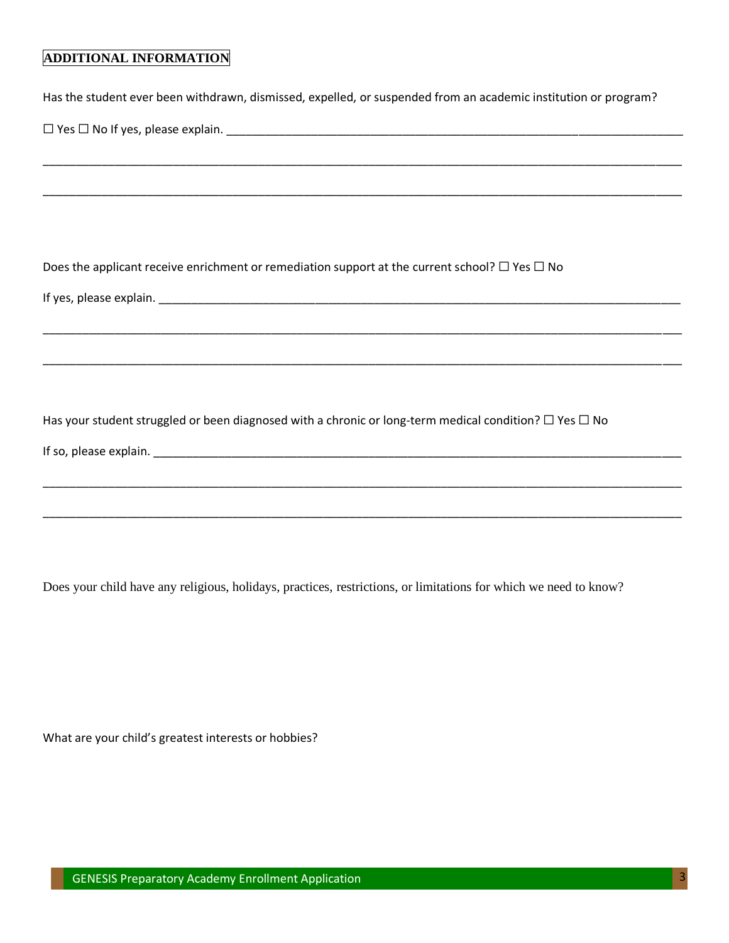## **ADDITIONAL INFORMATION**

|  |  | Has the student ever been withdrawn, dismissed, expelled, or suspended from an academic institution or program? |
|--|--|-----------------------------------------------------------------------------------------------------------------|
|--|--|-----------------------------------------------------------------------------------------------------------------|

\_\_\_\_\_\_\_\_\_\_\_\_\_\_\_\_\_\_\_\_\_\_\_\_\_\_\_\_\_\_\_\_\_\_\_\_\_\_\_\_\_\_\_\_\_\_\_\_\_\_\_\_\_\_\_\_\_\_\_\_\_\_\_\_\_\_\_\_\_\_\_\_\_\_\_\_\_\_\_\_\_\_\_\_\_\_\_\_\_\_\_\_\_\_\_\_\_\_

\_\_\_\_\_\_\_\_\_\_\_\_\_\_\_\_\_\_\_\_\_\_\_\_\_\_\_\_\_\_\_\_\_\_\_\_\_\_\_\_\_\_\_\_\_\_\_\_\_\_\_\_\_\_\_\_\_\_\_\_\_\_\_\_\_\_\_\_\_\_\_\_\_\_\_\_\_\_\_\_\_\_\_\_\_\_\_\_\_\_\_\_\_\_\_\_\_\_

\_\_\_\_\_\_\_\_\_\_\_\_\_\_\_\_\_\_\_\_\_\_\_\_\_\_\_\_\_\_\_\_\_\_\_\_\_\_\_\_\_\_\_\_\_\_\_\_\_\_\_\_\_\_\_\_\_\_\_\_\_\_\_\_\_\_\_\_\_\_\_\_\_\_\_\_\_\_\_\_\_\_\_\_\_\_\_\_\_\_\_\_\_\_\_\_\_\_

\_\_\_\_\_\_\_\_\_\_\_\_\_\_\_\_\_\_\_\_\_\_\_\_\_\_\_\_\_\_\_\_\_\_\_\_\_\_\_\_\_\_\_\_\_\_\_\_\_\_\_\_\_\_\_\_\_\_\_\_\_\_\_\_\_\_\_\_\_\_\_\_\_\_\_\_\_\_\_\_\_\_\_\_\_\_\_\_\_\_\_\_\_\_\_\_\_\_

\_\_\_\_\_\_\_\_\_\_\_\_\_\_\_\_\_\_\_\_\_\_\_\_\_\_\_\_\_\_\_\_\_\_\_\_\_\_\_\_\_\_\_\_\_\_\_\_\_\_\_\_\_\_\_\_\_\_\_\_\_\_\_\_\_\_\_\_\_\_\_\_\_\_\_\_\_\_\_\_\_\_\_\_\_\_\_\_\_\_\_\_\_\_\_\_\_\_

\_\_\_\_\_\_\_\_\_\_\_\_\_\_\_\_\_\_\_\_\_\_\_\_\_\_\_\_\_\_\_\_\_\_\_\_\_\_\_\_\_\_\_\_\_\_\_\_\_\_\_\_\_\_\_\_\_\_\_\_\_\_\_\_\_\_\_\_\_\_\_\_\_\_\_\_\_\_\_\_\_\_\_\_\_\_\_\_\_\_\_\_\_\_\_\_\_\_

☐ Yes ☐ No If yes, please explain. \_\_\_\_\_\_\_\_\_\_\_\_\_\_\_\_\_\_\_\_\_\_\_\_\_\_\_\_\_\_\_\_\_\_\_\_\_\_\_\_\_\_\_\_\_\_\_\_\_\_\_\_\_\_\_\_\_\_\_\_\_\_\_\_\_\_\_\_\_\_

Does the applicant receive enrichment or remediation support at the current school?  $\Box$  Yes  $\Box$  No

If yes, please explain. \_\_\_\_\_\_\_\_\_\_\_\_\_\_\_\_\_\_\_\_\_\_\_\_\_\_\_\_\_\_\_\_\_\_\_\_\_\_\_\_\_\_\_\_\_\_\_\_\_\_\_\_\_\_\_\_\_\_\_\_\_\_\_\_\_\_\_\_\_\_\_\_\_\_\_\_\_\_\_\_

Has your student struggled or been diagnosed with a chronic or long-term medical condition? □ Yes □ No

If so, please explain. The same state of the state of the state of the state of the state of the state of the state of the state of the state of the state of the state of the state of the state of the state of the state of

Does your child have any religious, holidays, practices, restrictions, or limitations for which we need to know?

What are your child's greatest interests or hobbies?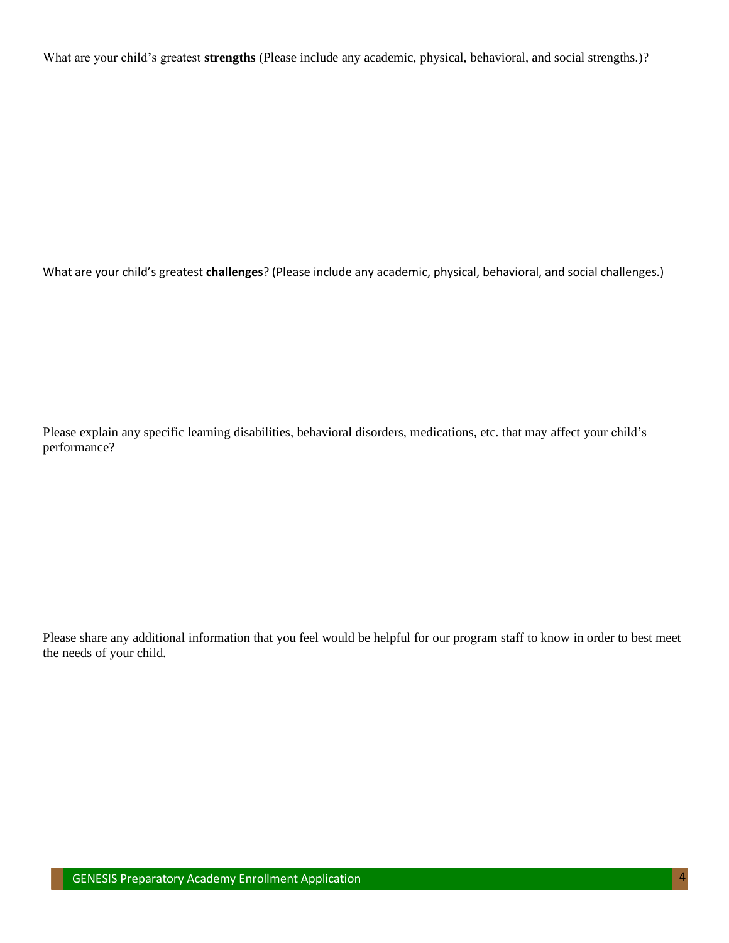What are your child's greatest **strengths** (Please include any academic, physical, behavioral, and social strengths.)?

What are your child's greatest **challenges**? (Please include any academic, physical, behavioral, and social challenges.)

Please explain any specific learning disabilities, behavioral disorders, medications, etc. that may affect your child's performance?

Please share any additional information that you feel would be helpful for our program staff to know in order to best meet the needs of your child.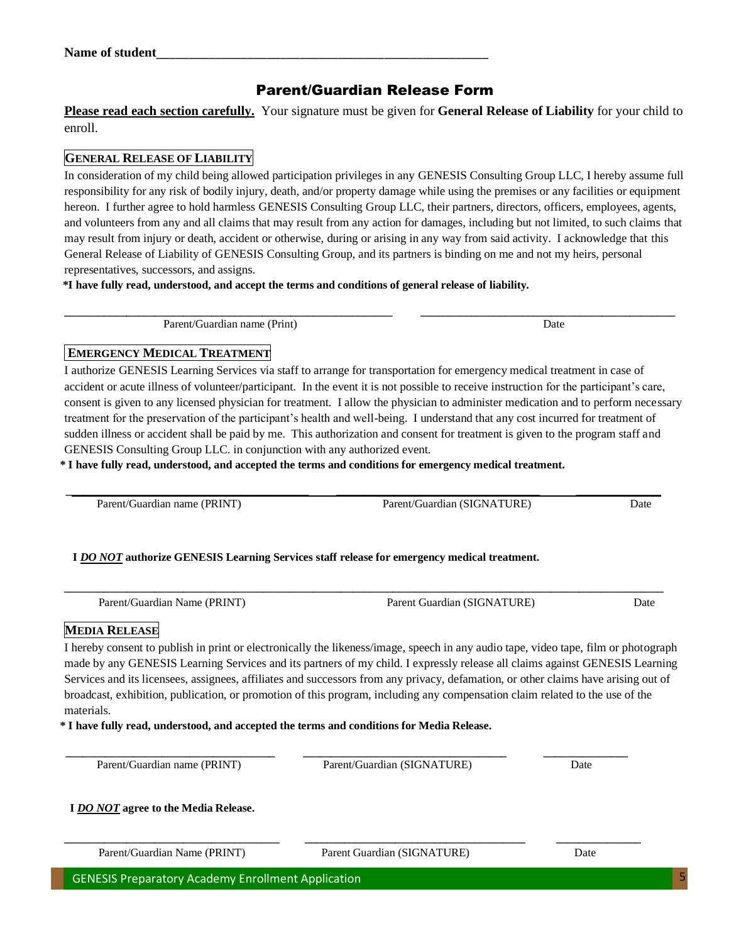# Parent/Guardian Release Form

**Please read each section carefully.** Your signature must be given for **General Release of Liability** for your child to enroll.

## **GENERAL RELEASE OF LIABILITY**

In consideration of my child being allowed participation privileges in any GENESIS Consulting Group LLC, I hereby assume full responsibility for any risk of bodily injury, death, and/or property damage while using the premises or any facilities or equipment hereon. I further agree to hold harmless GENESIS Consulting Group LLC, their partners, directors, officers, employees, agents, and volunteers from any and all claims that may result from any action for damages, including but not limited, to such claims that may result from injury or death, accident or otherwise, during or arising in any way from said activity. I acknowledge that this General Release of Liability of GENESIS Consulting Group, and its partners is binding on me and not my heirs, personal representatives, successors, and assigns.

 **\*I have fully read, understood, and accept the terms and conditions of general release of liability.** 

**\_\_\_\_\_\_\_\_\_\_\_\_\_\_\_\_\_\_\_\_\_\_\_\_\_\_\_\_\_\_\_\_\_\_\_\_\_\_\_\_\_\_\_\_\_\_\_\_\_\_\_\_\_\_\_\_\_\_ \_\_\_\_\_\_\_\_\_\_\_\_\_\_\_\_\_\_\_\_\_\_\_\_\_\_\_\_\_\_\_\_\_\_\_\_\_\_\_\_\_\_\_\_\_ Parent/Guardian name (Print) Date** Development of the Date of Date Date of Date of Date of Date of Date of Date of Date of Date of Date of Date of Date of Date of Date of Date of Date of Date of Date of Date of Date of Da

## **EMERGENCY MEDICAL TREATMENT**

I authorize GENESIS Learning Services via staff to arrange for transportation for emergency medical treatment in case of accident or acute illness of volunteer/participant. In the event it is not possible to receive instruction for the participant's care, consent is given to any licensed physician for treatment. I allow the physician to administer medication and to perform necessary treatment for the preservation of the participant's health and well-being. I understand that any cost incurred for treatment of sudden illness or accident shall be paid by me. This authorization and consent for treatment is given to the program staff and GENESIS Consulting Group LLC. in conjunction with any authorized event.

 **\* I have fully read, understood, and accepted the terms and conditions for emergency medical treatment.** 

 $\mathcal{L}_\text{max} = \frac{1}{2} \sum_{i=1}^n \mathcal{L}_\text{max} = \frac{1}{2} \sum_{i=1}^n \mathcal{L}_\text{max} = \frac{1}{2} \sum_{i=1}^n \mathcal{L}_\text{max} = \frac{1}{2} \sum_{i=1}^n \mathcal{L}_\text{max} = \frac{1}{2} \sum_{i=1}^n \mathcal{L}_\text{max} = \frac{1}{2} \sum_{i=1}^n \mathcal{L}_\text{max} = \frac{1}{2} \sum_{i=1}^n \mathcal{L}_\text{max} = \frac{1}{2} \sum_{i=$ Parent/Guardian name (PRINT) Date **Parent/Guardian (SIGNATURE)** Date

# **I** *DO NOT* **authorize GENESIS Learning Services staff release for emergency medical treatment.**

Parent/Guardian Name (PRINT) Parent Guardian (SIGNATURE) Date

## **MEDIA RELEASE**

I hereby consent to publish in print or electronically the likeness/image, speech in any audio tape, video tape, film or photograph made by any GENESIS Learning Services and its partners of my child. I expressly release all claims against GENESIS Learning Services and its licensees, assignees, affiliates and successors from any privacy, defamation, or other claims have arising out of broadcast, exhibition, publication, or promotion of this program, including any compensation claim related to the use of the materials.

 **\* I have fully read, understood, and accepted the terms and conditions for Media Release.** 

 **\_\_\_\_\_\_\_\_\_\_\_\_\_\_\_\_\_\_\_\_\_\_\_\_\_\_\_\_\_\_\_\_\_\_\_\_\_ \_\_\_\_\_\_\_\_\_\_\_\_\_\_\_\_\_\_\_\_\_\_\_\_\_\_\_\_\_\_\_\_\_\_\_\_ \_\_\_\_\_\_\_\_\_\_\_\_\_\_\_** Parent/Guardian name (PRINT) Parent/Guardian (SIGNATURE) Date

**\_\_\_\_\_\_\_\_\_\_\_\_\_\_\_\_\_\_\_\_\_\_\_\_\_\_\_\_\_\_\_\_\_\_\_\_\_\_ \_\_\_\_\_\_\_\_\_\_\_\_\_\_\_\_\_\_\_\_\_\_\_\_\_\_\_\_\_\_\_\_\_\_\_\_\_\_\_ \_\_\_\_\_\_\_\_\_\_\_\_\_\_\_**

 **I** *DO NOT* **agree to the Media Release.**

Parent/Guardian Name (PRINT) Parent Guardian (SIGNATURE) Date

GENESIS Preparatory Academy Enrollment Application

**\_\_\_\_\_\_\_\_\_\_\_\_\_\_\_\_\_\_\_\_\_\_\_\_\_\_\_\_\_\_\_\_\_\_\_\_\_\_\_\_\_\_\_\_\_\_\_\_\_\_\_\_\_\_\_\_\_\_\_\_\_\_\_\_\_\_\_\_\_\_\_\_\_\_\_\_\_\_\_\_\_\_\_\_\_\_\_\_\_\_\_\_\_\_\_\_\_\_\_\_\_\_\_\_\_\_**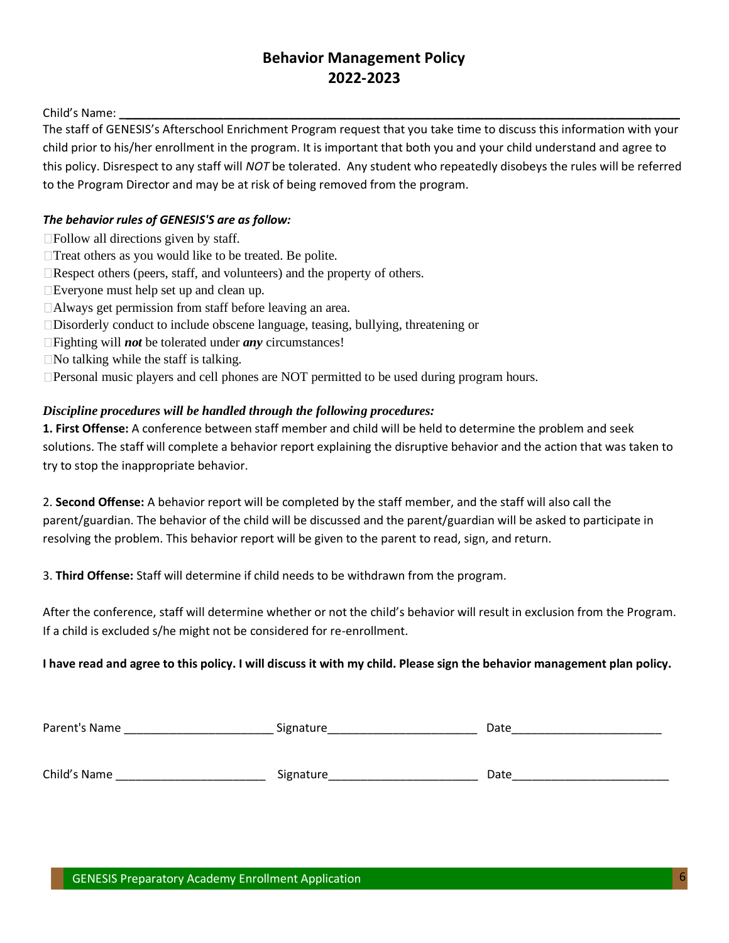# **Behavior Management Policy 2022-2023**

Child's Name: **\_\_\_\_\_\_\_\_\_\_\_\_\_\_\_\_\_\_\_\_\_\_\_\_\_\_\_\_\_\_\_\_\_\_\_\_\_\_\_\_\_\_\_\_\_\_\_\_\_\_\_\_\_\_\_\_\_\_\_\_\_\_\_\_\_\_\_\_\_\_\_\_\_\_\_\_\_\_\_\_\_\_\_\_\_\_**

The staff of GENESIS's Afterschool Enrichment Program request that you take time to discuss this information with your child prior to his/her enrollment in the program. It is important that both you and your child understand and agree to this policy. Disrespect to any staff will *NOT* be tolerated. Any student who repeatedly disobeys the rules will be referred to the Program Director and may be at risk of being removed from the program.

### *The behavior rules of GENESIS'S are as follow:*

- Follow all directions given by staff.
- □Treat others as you would like to be treated. Be polite.
- $\Box$ Respect others (peers, staff, and volunteers) and the property of others.
- Everyone must help set up and clean up.
- Always get permission from staff before leaving an area.
- Disorderly conduct to include obscene language, teasing, bullying, threatening or
- Fighting will *not* be tolerated under *any* circumstances!
- $\Box$  No talking while the staff is talking.

□Personal music players and cell phones are NOT permitted to be used during program hours.

#### *Discipline procedures will be handled through the following procedures:*

**1. First Offense:** A conference between staff member and child will be held to determine the problem and seek solutions. The staff will complete a behavior report explaining the disruptive behavior and the action that was taken to try to stop the inappropriate behavior.

2. **Second Offense:** A behavior report will be completed by the staff member, and the staff will also call the parent/guardian. The behavior of the child will be discussed and the parent/guardian will be asked to participate in resolving the problem. This behavior report will be given to the parent to read, sign, and return.

3. **Third Offense:** Staff will determine if child needs to be withdrawn from the program.

After the conference, staff will determine whether or not the child's behavior will result in exclusion from the Program. If a child is excluded s/he might not be considered for re-enrollment.

#### **I have read and agree to this policy. I will discuss it with my child. Please sign the behavior management plan policy.**

| Parent's Name | Signature | Date |
|---------------|-----------|------|
|               |           |      |
| Child's Name  | Signature | Date |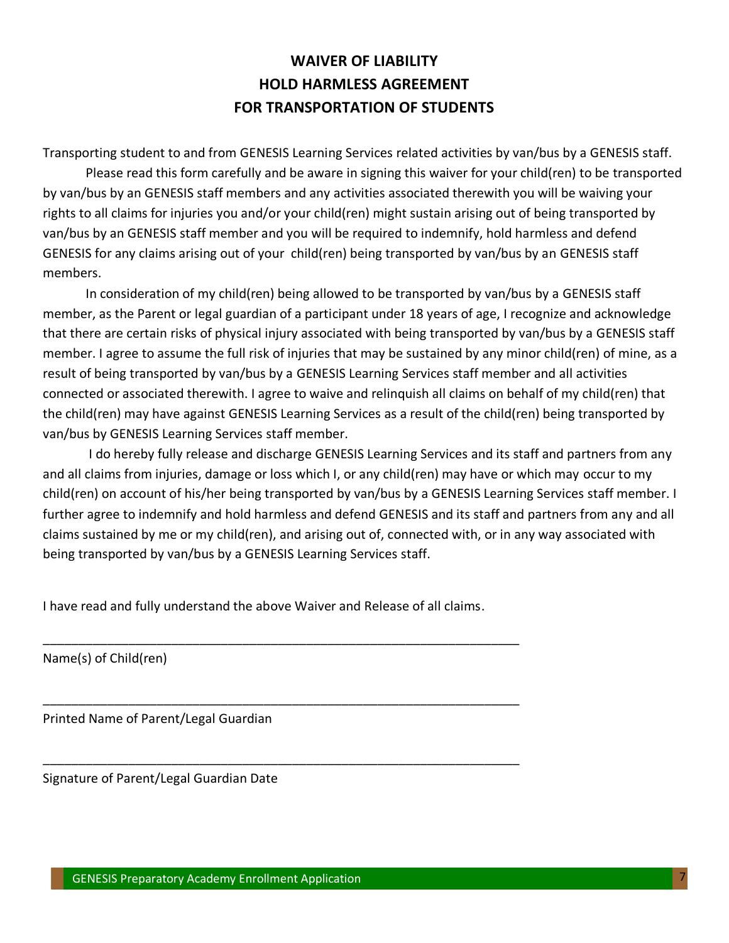# **WAIVER OF LIABILITY HOLD HARMLESS AGREEMENT FOR TRANSPORTATION OF STUDENTS**

Transporting student to and from GENESIS Learning Services related activities by van/bus by a GENESIS staff.

Please read this form carefully and be aware in signing this waiver for your child(ren) to be transported by van/bus by an GENESIS staff members and any activities associated therewith you will be waiving your rights to all claims for injuries you and/or your child(ren) might sustain arising out of being transported by van/bus by an GENESIS staff member and you will be required to indemnify, hold harmless and defend GENESIS for any claims arising out of your child(ren) being transported by van/bus by an GENESIS staff members.

In consideration of my child(ren) being allowed to be transported by van/bus by a GENESIS staff member, as the Parent or legal guardian of a participant under 18 years of age, I recognize and acknowledge that there are certain risks of physical injury associated with being transported by van/bus by a GENESIS staff member. I agree to assume the full risk of injuries that may be sustained by any minor child(ren) of mine, as a result of being transported by van/bus by a GENESIS Learning Services staff member and all activities connected or associated therewith. I agree to waive and relinquish all claims on behalf of my child(ren) that the child(ren) may have against GENESIS Learning Services as a result of the child(ren) being transported by van/bus by GENESIS Learning Services staff member.

I do hereby fully release and discharge GENESIS Learning Services and its staff and partners from any and all claims from injuries, damage or loss which I, or any child(ren) may have or which may occur to my child(ren) on account of his/her being transported by van/bus by a GENESIS Learning Services staff member. I further agree to indemnify and hold harmless and defend GENESIS and its staff and partners from any and all claims sustained by me or my child(ren), and arising out of, connected with, or in any way associated with being transported by van/bus by a GENESIS Learning Services staff.

I have read and fully understand the above Waiver and Release of all claims.

\_\_\_\_\_\_\_\_\_\_\_\_\_\_\_\_\_\_\_\_\_\_\_\_\_\_\_\_\_\_\_\_\_\_\_\_\_\_\_\_\_\_\_\_\_\_\_\_\_\_\_\_\_\_\_\_\_\_\_\_\_\_\_\_\_\_\_

\_\_\_\_\_\_\_\_\_\_\_\_\_\_\_\_\_\_\_\_\_\_\_\_\_\_\_\_\_\_\_\_\_\_\_\_\_\_\_\_\_\_\_\_\_\_\_\_\_\_\_\_\_\_\_\_\_\_\_\_\_\_\_\_\_\_\_

\_\_\_\_\_\_\_\_\_\_\_\_\_\_\_\_\_\_\_\_\_\_\_\_\_\_\_\_\_\_\_\_\_\_\_\_\_\_\_\_\_\_\_\_\_\_\_\_\_\_\_\_\_\_\_\_\_\_\_\_\_\_\_\_\_\_\_

Name(s) of Child(ren)

Printed Name of Parent/Legal Guardian

Signature of Parent/Legal Guardian Date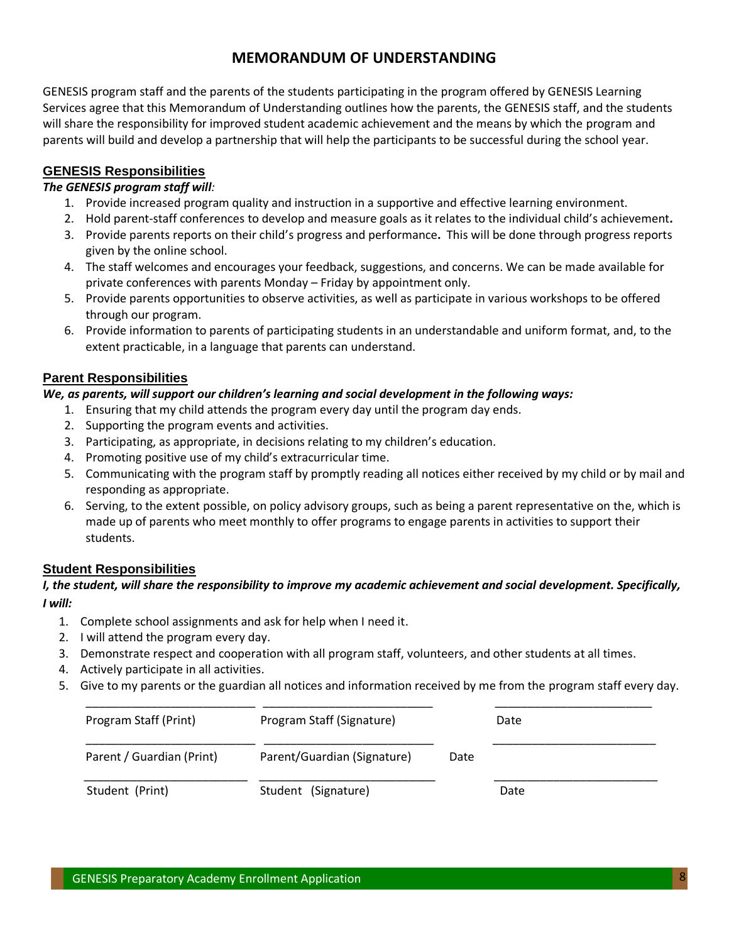## **MEMORANDUM OF UNDERSTANDING**

GENESIS program staff and the parents of the students participating in the program offered by GENESIS Learning Services agree that this Memorandum of Understanding outlines how the parents, the GENESIS staff, and the students will share the responsibility for improved student academic achievement and the means by which the program and parents will build and develop a partnership that will help the participants to be successful during the school year.

## **GENESIS Responsibilities**

### *The GENESIS program staff will:*

- 1. Provide increased program quality and instruction in a supportive and effective learning environment.
- 2. Hold parent-staff conferences to develop and measure goals as it relates to the individual child's achievement**.**
- 3. Provide parents reports on their child's progress and performance**.** This will be done through progress reports given by the online school.
- 4. The staff welcomes and encourages your feedback, suggestions, and concerns. We can be made available for private conferences with parents Monday – Friday by appointment only.
- 5. Provide parents opportunities to observe activities, as well as participate in various workshops to be offered through our program.
- 6. Provide information to parents of participating students in an understandable and uniform format, and, to the extent practicable, in a language that parents can understand.

### **Parent Responsibilities**

#### *We, as parents, will support our children's learning and social development in the following ways:*

- 1. Ensuring that my child attends the program every day until the program day ends.
- 2. Supporting the program events and activities.
- 3. Participating, as appropriate, in decisions relating to my children's education.
- 4. Promoting positive use of my child's extracurricular time.
- 5. Communicating with the program staff by promptly reading all notices either received by my child or by mail and responding as appropriate.
- 6. Serving, to the extent possible, on policy advisory groups, such as being a parent representative on the, which is made up of parents who meet monthly to offer programs to engage parents in activities to support their students.

### **Student Responsibilities**

#### *I, the student, will share the responsibility to improve my academic achievement and social development. Specifically, I will:*

- 1. Complete school assignments and ask for help when I need it.
- 2. I will attend the program every day.
- 3. Demonstrate respect and cooperation with all program staff, volunteers, and other students at all times.
- 4. Actively participate in all activities.
- 5. Give to my parents or the guardian all notices and information received by me from the program staff every day.

| Program Staff (Print)     | Program Staff (Signature)   |      | Date |
|---------------------------|-----------------------------|------|------|
| Parent / Guardian (Print) | Parent/Guardian (Signature) | Date |      |
| Student (Print)           | Student (Signature)         |      | Date |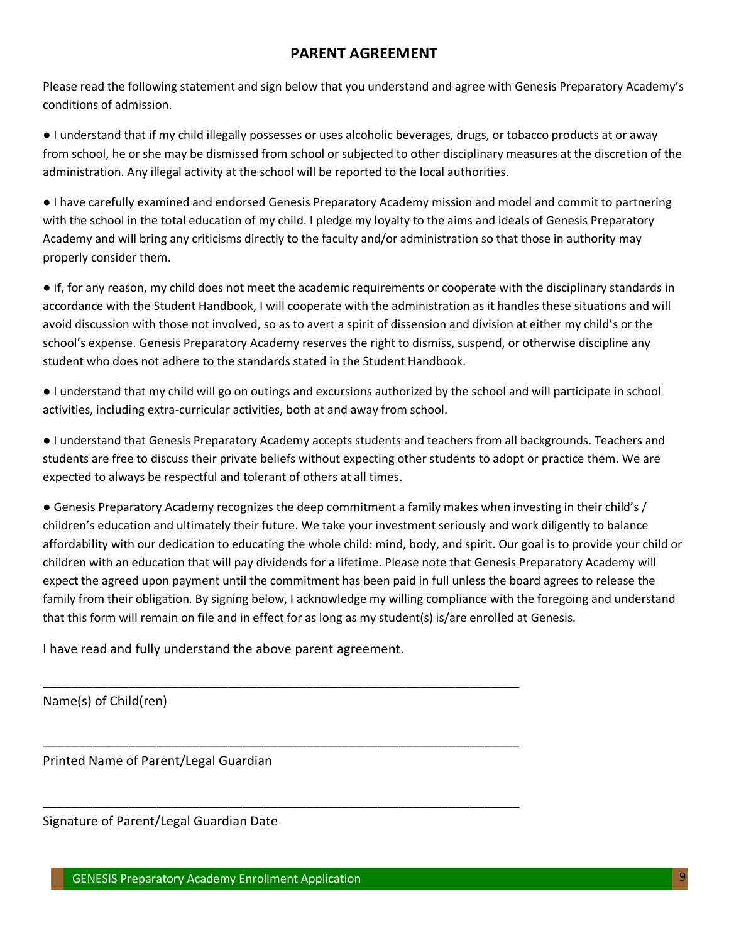## **PARENT AGREEMENT**

Please read the following statement and sign below that you understand and agree with Genesis Preparatory Academy's conditions of admission.

● I understand that if my child illegally possesses or uses alcoholic beverages, drugs, or tobacco products at or away from school, he or she may be dismissed from school or subjected to other disciplinary measures at the discretion of the administration. Any illegal activity at the school will be reported to the local authorities.

● I have carefully examined and endorsed Genesis Preparatory Academy mission and model and commit to partnering with the school in the total education of my child. I pledge my loyalty to the aims and ideals of Genesis Preparatory Academy and will bring any criticisms directly to the faculty and/or administration so that those in authority may properly consider them.

● If, for any reason, my child does not meet the academic requirements or cooperate with the disciplinary standards in accordance with the Student Handbook, I will cooperate with the administration as it handles these situations and will avoid discussion with those not involved, so as to avert a spirit of dissension and division at either my child's or the school's expense. Genesis Preparatory Academy reserves the right to dismiss, suspend, or otherwise discipline any student who does not adhere to the standards stated in the Student Handbook.

● I understand that my child will go on outings and excursions authorized by the school and will participate in school activities, including extra-curricular activities, both at and away from school.

● I understand that Genesis Preparatory Academy accepts students and teachers from all backgrounds. Teachers and students are free to discuss their private beliefs without expecting other students to adopt or practice them. We are expected to always be respectful and tolerant of others at all times.

● Genesis Preparatory Academy recognizes the deep commitment a family makes when investing in their child's / children's education and ultimately their future. We take your investment seriously and work diligently to balance affordability with our dedication to educating the whole child: mind, body, and spirit. Our goal is to provide your child or children with an education that will pay dividends for a lifetime. Please note that Genesis Preparatory Academy will expect the agreed upon payment until the commitment has been paid in full unless the board agrees to release the family from their obligation. By signing below, I acknowledge my willing compliance with the foregoing and understand that this form will remain on file and in effect for as long as my student(s) is/are enrolled at Genesis.

I have read and fully understand the above parent agreement.

\_\_\_\_\_\_\_\_\_\_\_\_\_\_\_\_\_\_\_\_\_\_\_\_\_\_\_\_\_\_\_\_\_\_\_\_\_\_\_\_\_\_\_\_\_\_\_\_\_\_\_\_\_\_\_\_\_\_\_\_\_\_\_\_\_\_\_

\_\_\_\_\_\_\_\_\_\_\_\_\_\_\_\_\_\_\_\_\_\_\_\_\_\_\_\_\_\_\_\_\_\_\_\_\_\_\_\_\_\_\_\_\_\_\_\_\_\_\_\_\_\_\_\_\_\_\_\_\_\_\_\_\_\_\_

\_\_\_\_\_\_\_\_\_\_\_\_\_\_\_\_\_\_\_\_\_\_\_\_\_\_\_\_\_\_\_\_\_\_\_\_\_\_\_\_\_\_\_\_\_\_\_\_\_\_\_\_\_\_\_\_\_\_\_\_\_\_\_\_\_\_\_

Name(s) of Child(ren)

Printed Name of Parent/Legal Guardian

Signature of Parent/Legal Guardian Date